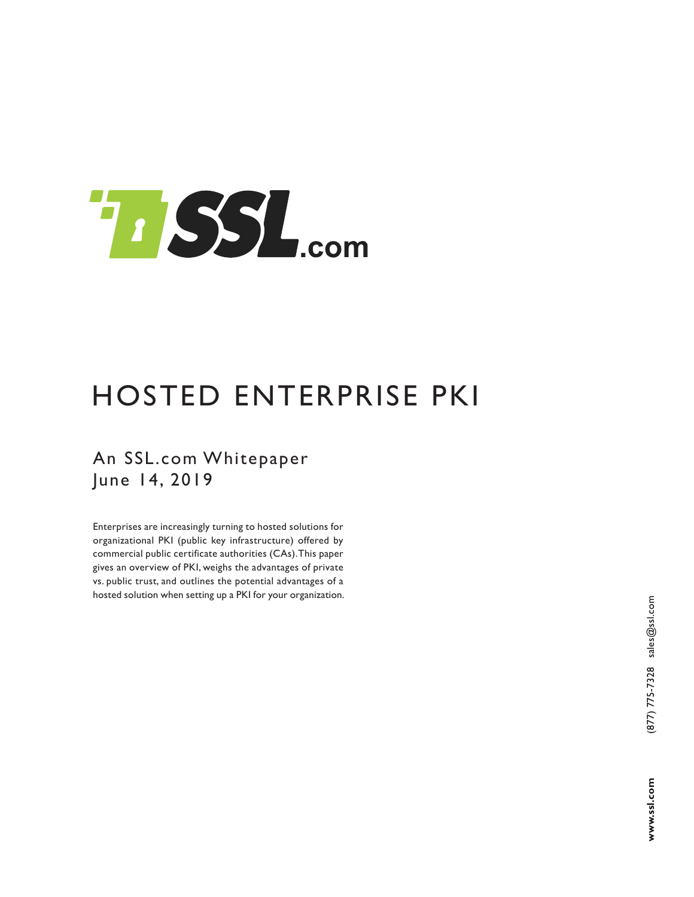

# HOSTED ENTERPRISE PKI

An SSL.com Whitepaper June 14, 2019

Enterprises are increasingly turning to hosted solutions for organizational PKI (public key infrastructure) offered by commercial public certificate authorities (CAs). This paper gives an overview of PKI, weighs the advantages of private vs. public trust, and outlines the potential advantages of a hosted solution when setting up a PKI for your organization.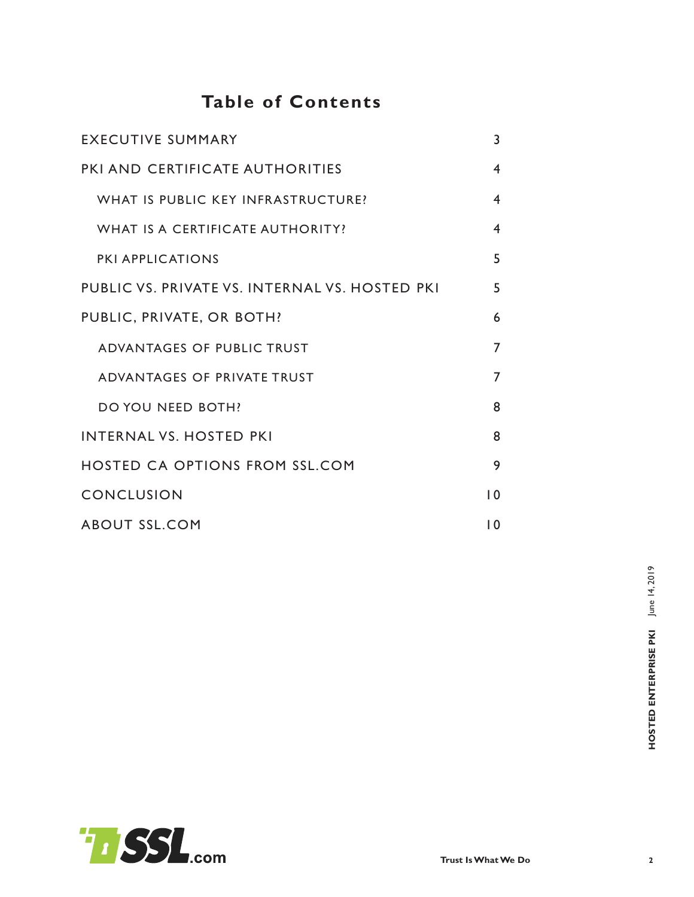# **Table of Contents**

| <b>EXECUTIVE SUMMARY</b>                       | 3               |
|------------------------------------------------|-----------------|
| PKI AND CERTIFICATE AUTHORITIES                | 4               |
| WHAT IS PUBLIC KEY INFRASTRUCTURE?             | 4               |
| WHAT IS A CERTIFICATE AUTHORITY?               | 4               |
| <b>PKI APPLICATIONS</b>                        | 5               |
| PUBLIC VS. PRIVATE VS. INTERNAL VS. HOSTED PKI | 5               |
| PUBLIC, PRIVATE, OR BOTH?                      | 6               |
| ADVANTAGES OF PUBLIC TRUST                     | 7               |
| ADVANTAGES OF PRIVATE TRUST                    | 7               |
| DO YOU NEED BOTH?                              | 8               |
| <b>INTERNAL VS. HOSTED PKI</b>                 | 8               |
| <b>HOSTED CA OPTIONS FROM SSL.COM</b>          | 9               |
| <b>CONCLUSION</b>                              | $\overline{10}$ |
| <b>ABOUT SSL.COM</b>                           | 10              |

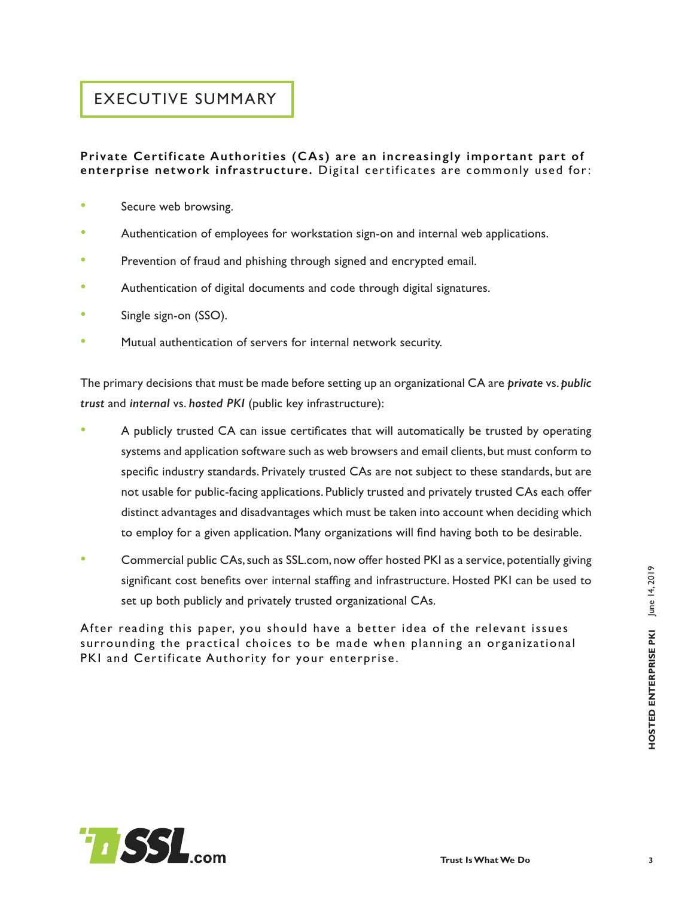# HOSTED ENTERPRISE PKI June 14, 2019 June 14, 2019 **HOSTED ENTERPRISE PKI**

### EXECUTIVE SUMMARY

#### **Private Certificate Authorities (CAs) are an increasingly important part of enterprise network infrastructure.** Digital certificates are commonly used for:

- Secure web browsing.
- Authentication of employees for workstation sign-on and internal web applications.
- Prevention of fraud and phishing through signed and encrypted email.
- Authentication of digital documents and code through digital signatures.
- Single sign-on (SSO).
- Mutual authentication of servers for internal network security.

The primary decisions that must be made before setting up an organizational CA are *private* vs. *public trust* and *internal* vs. *hosted PKI* (public key infrastructure):

- A publicly trusted CA can issue certificates that will automatically be trusted by operating systems and application software such as web browsers and email clients, but must conform to specific industry standards. Privately trusted CAs are not subject to these standards, but are not usable for public-facing applications. Publicly trusted and privately trusted CAs each offer distinct advantages and disadvantages which must be taken into account when deciding which to employ for a given application. Many organizations will find having both to be desirable.
- Commercial public CAs, such as SSL.com, now offer hosted PKI as a service, potentially giving significant cost benefits over internal staffing and infrastructure. Hosted PKI can be used to set up both publicly and privately trusted organizational CAs.

After reading this paper, you should have a better idea of the relevant issues surrounding the practical choices to be made when planning an organizational PKI and Certificate Authority for your enterprise.

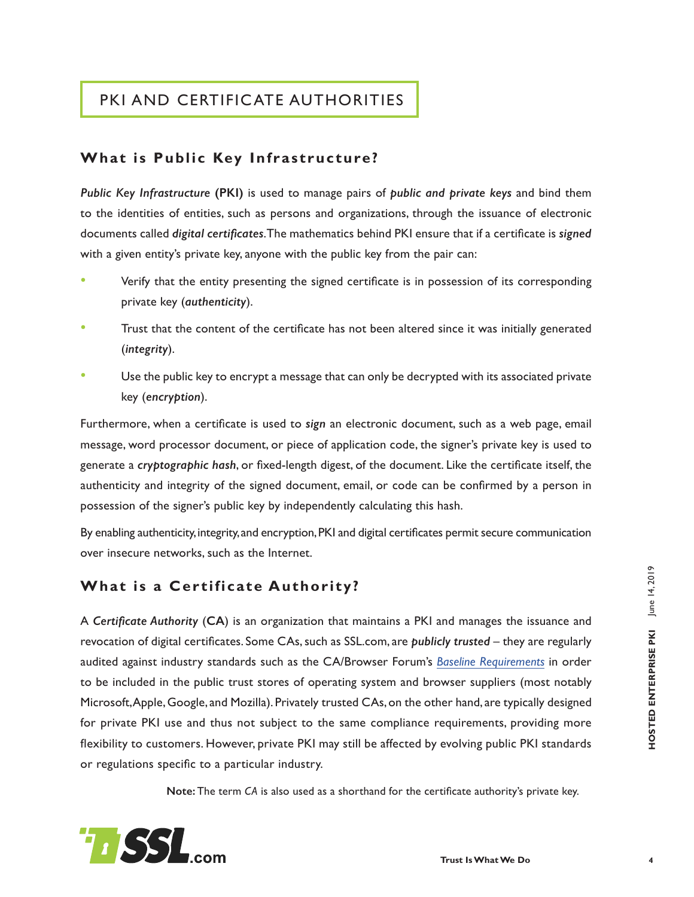# PKI AND CERTIFICATE AUTHORITIES

#### **What is Public Key Infrastructure?**

*Public Key Infrastructure* **(PKI)** is used to manage pairs of *public and private keys* and bind them to the identities of entities, such as persons and organizations, through the issuance of electronic documents called *digital certificates*.The mathematics behind PKI ensure that if a certificate is *signed* with a given entity's private key, anyone with the public key from the pair can:

- Verify that the entity presenting the signed certificate is in possession of its corresponding private key (*authenticity*).
- Trust that the content of the certificate has not been altered since it was initially generated (*integrity*).
- Use the public key to encrypt a message that can only be decrypted with its associated private key (*encryption*).

Furthermore, when a certificate is used to *sign* an electronic document, such as a web page, email message, word processor document, or piece of application code, the signer's private key is used to generate a *cryptographic hash*, or fixed-length digest, of the document. Like the certificate itself, the authenticity and integrity of the signed document, email, or code can be confirmed by a person in possession of the signer's public key by independently calculating this hash.

By enabling authenticity,integrity,and encryption,PKI and digital certificates permit secure communication over insecure networks, such as the Internet.

#### **What is a Certificate Authority?**

A *Certificate Authority* (**CA**) is an organization that maintains a PKI and manages the issuance and revocation of digital certificates. Some CAs, such as SSL.com, are *publicly trusted* – they are regularly audited against industry standards such as the CA/Browser Forum's *[Baseline Requirements](https://cabforum.org/baseline-requirements-documents/)* in order to be included in the public trust stores of operating system and browser suppliers (most notably Microsoft, Apple, Google, and Mozilla). Privately trusted CAs, on the other hand, are typically designed for private PKI use and thus not subject to the same compliance requirements, providing more flexibility to customers. However, private PKI may still be affected by evolving public PKI standards or regulations specific to a particular industry.

**Note:** The term *CA* is also used as a shorthand for the certificate authority's private key.

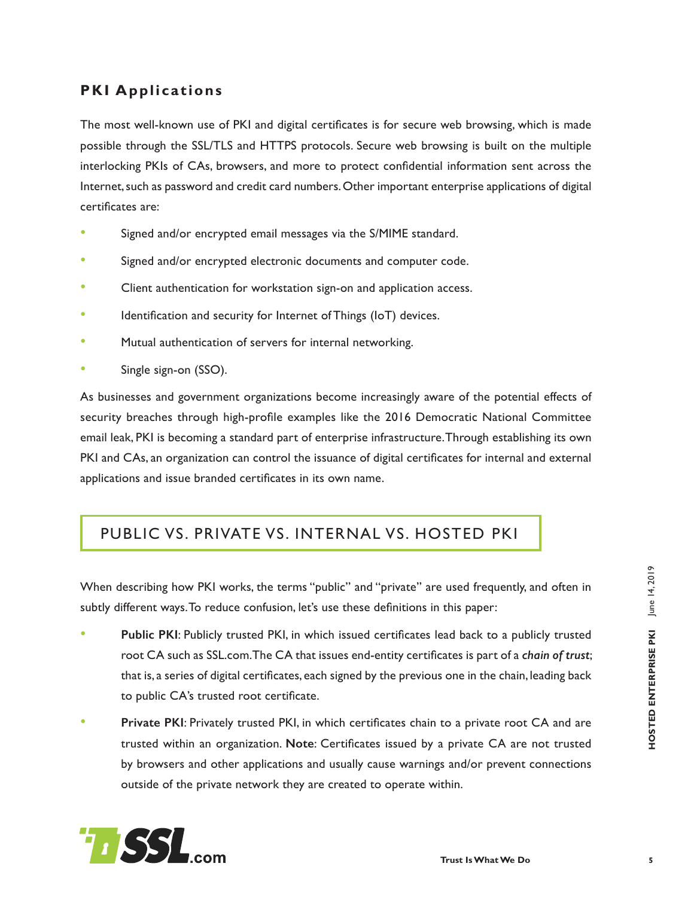#### **PKI Applications**

The most well-known use of PKI and digital certificates is for secure web browsing, which is made possible through the SSL/TLS and HTTPS protocols. Secure web browsing is built on the multiple interlocking PKIs of CAs, browsers, and more to protect confidential information sent across the Internet, such as password and credit card numbers. Other important enterprise applications of digital certificates are:

- Signed and/or encrypted email messages via the S/MIME standard.
- Signed and/or encrypted electronic documents and computer code.
- Client authentication for workstation sign-on and application access.
- Identification and security for Internet of Things (IoT) devices.
- Mutual authentication of servers for internal networking.
- Single sign-on (SSO).

As businesses and government organizations become increasingly aware of the potential effects of security breaches through high-profile examples like the 2016 Democratic National Committee email leak, PKI is becoming a standard part of enterprise infrastructure. Through establishing its own PKI and CAs, an organization can control the issuance of digital certificates for internal and external applications and issue branded certificates in its own name.

#### PUBLIC VS. PRIVATE VS. INTERNAL VS. HOSTED PKI

When describing how PKI works, the terms "public" and "private" are used frequently, and often in subtly different ways.To reduce confusion, let's use these definitions in this paper:

- **Public PKI**: Publicly trusted PKI, in which issued certificates lead back to a publicly trusted root CA such as SSL.com.The CA that issues end-entity certificates is part of a *chain of trust*; that is, a series of digital certificates, each signed by the previous one in the chain, leading back to public CA's trusted root certificate.
- **Private PKI**: Privately trusted PKI, in which certificates chain to a private root CA and are trusted within an organization. **Note**: Certificates issued by a private CA are not trusted by browsers and other applications and usually cause warnings and/or prevent connections outside of the private network they are created to operate within.

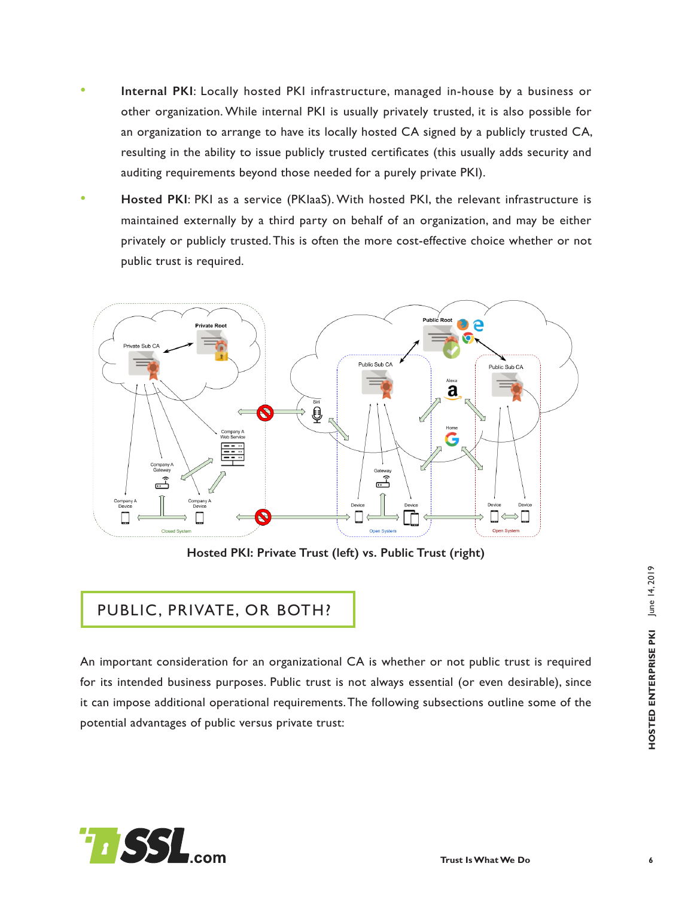- **Internal PKI**: Locally hosted PKI infrastructure, managed in-house by a business or other organization. While internal PKI is usually privately trusted, it is also possible for an organization to arrange to have its locally hosted CA signed by a publicly trusted CA, resulting in the ability to issue publicly trusted certificates (this usually adds security and auditing requirements beyond those needed for a purely private PKI).
- **Hosted PKI**: PKI as a service (PKIaaS). With hosted PKI, the relevant infrastructure is maintained externally by a third party on behalf of an organization, and may be either privately or publicly trusted. This is often the more cost-effective choice whether or not public trust is required.



**Hosted PKI: Private Trust (left) vs. Public Trust (right)**

#### PUBLIC, PRIVATE, OR BOTH?

An important consideration for an organizational CA is whether or not public trust is required for its intended business purposes. Public trust is not always essential (or even desirable), since it can impose additional operational requirements.The following subsections outline some of the potential advantages of public versus private trust:

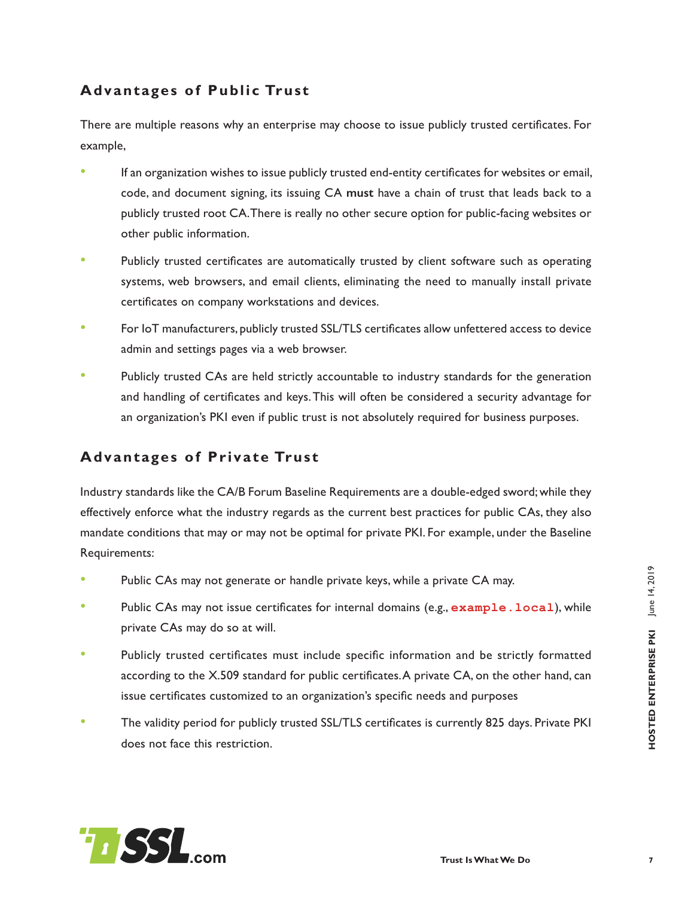#### **Advantages of Public Trust**

There are multiple reasons why an enterprise may choose to issue publicly trusted certificates. For example,

- If an organization wishes to issue publicly trusted end-entity certificates for websites or email, code, and document signing, its issuing CA **must** have a chain of trust that leads back to a publicly trusted root CA. There is really no other secure option for public-facing websites or other public information.
- Publicly trusted certificates are automatically trusted by client software such as operating systems, web browsers, and email clients, eliminating the need to manually install private certificates on company workstations and devices.
- For IoT manufacturers, publicly trusted SSL/TLS certificates allow unfettered access to device admin and settings pages via a web browser.
- Publicly trusted CAs are held strictly accountable to industry standards for the generation and handling of certificates and keys.This will often be considered a security advantage for an organization's PKI even if public trust is not absolutely required for business purposes.

#### **Advantages of Private Trust**

Industry standards like the CA/B Forum Baseline Requirements are a double-edged sword;while they effectively enforce what the industry regards as the current best practices for public CAs, they also mandate conditions that may or may not be optimal for private PKI. For example, under the Baseline Requirements:

- Public CAs may not generate or handle private keys, while a private CA may.
- Public CAs may not issue certificates for internal domains (e.g., example. local), while private CAs may do so at will.
- Publicly trusted certificates must include specific information and be strictly formatted according to the X.509 standard for public certificates.A private CA, on the other hand, can issue certificates customized to an organization's specific needs and purposes
- The validity period for publicly trusted SSL/TLS certificates is currently 825 days. Private PKI does not face this restriction.

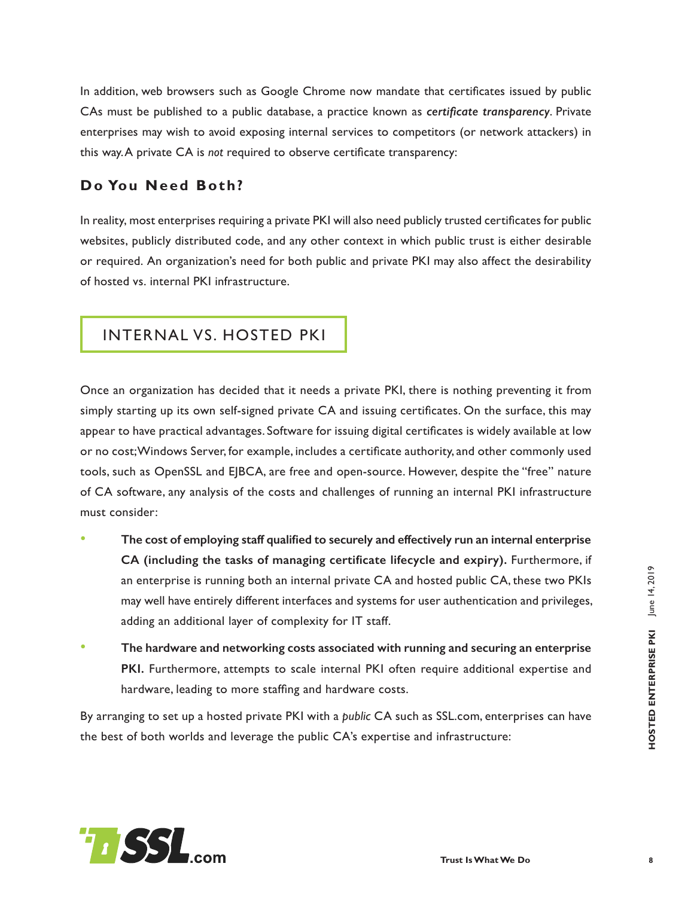In addition, web browsers such as Google Chrome now mandate that certificates issued by public CAs must be published to a public database, a practice known as *certificate transparency*. Private enterprises may wish to avoid exposing internal services to competitors (or network attackers) in this way. A private CA is *not* required to observe certificate transparency:

#### **Do You Need Both?**

In reality, most enterprises requiring a private PKI will also need publicly trusted certificates for public websites, publicly distributed code, and any other context in which public trust is either desirable or required. An organization's need for both public and private PKI may also affect the desirability of hosted vs. internal PKI infrastructure.

#### INTERNAL VS. HOSTED PKI

Once an organization has decided that it needs a private PKI, there is nothing preventing it from simply starting up its own self-signed private CA and issuing certificates. On the surface, this may appear to have practical advantages. Software for issuing digital certificates is widely available at low or no cost;Windows Server, for example, includes a certificate authority, and other commonly used tools, such as OpenSSL and EJBCA, are free and open-source. However, despite the "free" nature of CA software, any analysis of the costs and challenges of running an internal PKI infrastructure must consider:

- **The cost of employing staff qualified to securely and effectively run an internal enterprise CA (including the tasks of managing certificate lifecycle and expiry).** Furthermore, if an enterprise is running both an internal private CA and hosted public CA, these two PKIs may well have entirely different interfaces and systems for user authentication and privileges, adding an additional layer of complexity for IT staff.
- **The hardware and networking costs associated with running and securing an enterprise PKI.** Furthermore, attempts to scale internal PKI often require additional expertise and hardware, leading to more staffing and hardware costs.

By arranging to set up a hosted private PKI with a *public* CA such as SSL.com, enterprises can have the best of both worlds and leverage the public CA's expertise and infrastructure:

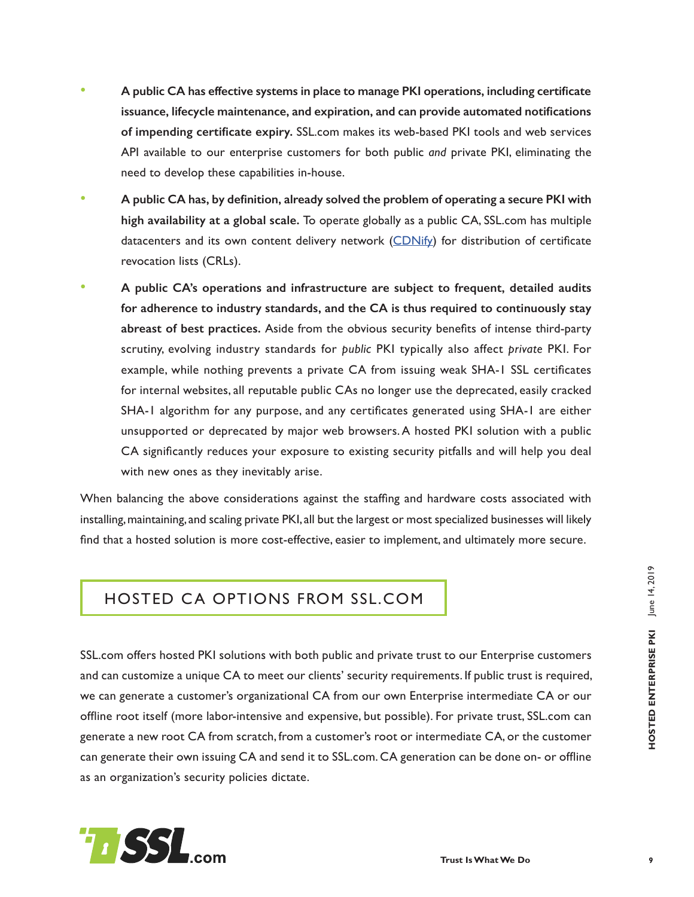- **A public CA has effective systems in place to manage PKI operations, including certificate issuance, lifecycle maintenance, and expiration, and can provide automated notifications of impending certificate expiry.** SSL.com makes its web-based PKI tools and web services API available to our enterprise customers for both public *and* private PKI, eliminating the need to develop these capabilities in-house.
- **A public CA has, by definition, already solved the problem of operating a secure PKI with high availability at a global scale.** To operate globally as a public CA, SSL.com has multiple datacenters and its own content delivery network  $(CDNify)$  $(CDNify)$  $(CDNify)$  for distribution of certificate revocation lists (CRLs).
- **A public CA's operations and infrastructure are subject to frequent, detailed audits for adherence to industry standards, and the CA is thus required to continuously stay abreast of best practices.** Aside from the obvious security benefits of intense third-party scrutiny, evolving industry standards for *public* PKI typically also affect *private* PKI. For example, while nothing prevents a private CA from issuing weak SHA-1 SSL certificates for internal websites, all reputable public CAs no longer use the deprecated, easily cracked SHA-1 algorithm for any purpose, and any certificates generated using SHA-1 are either unsupported or deprecated by major web browsers.A hosted PKI solution with a public CA significantly reduces your exposure to existing security pitfalls and will help you deal with new ones as they inevitably arise.

When balancing the above considerations against the staffing and hardware costs associated with installing, maintaining, and scaling private PKI, all but the largest or most specialized businesses will likely find that a hosted solution is more cost-effective, easier to implement, and ultimately more secure.

#### HOSTED CA OPTIONS FROM SSL.COM

SSL.com offers hosted PKI solutions with both public and private trust to our Enterprise customers and can customize a unique CA to meet our clients' security requirements. If public trust is required, we can generate a customer's organizational CA from our own Enterprise intermediate CA or our offline root itself (more labor-intensive and expensive, but possible). For private trust, SSL.com can generate a new root CA from scratch, from a customer's root or intermediate CA, or the customer can generate their own issuing CA and send it to SSL.com. CA generation can be done on- or offline as an organization's security policies dictate.

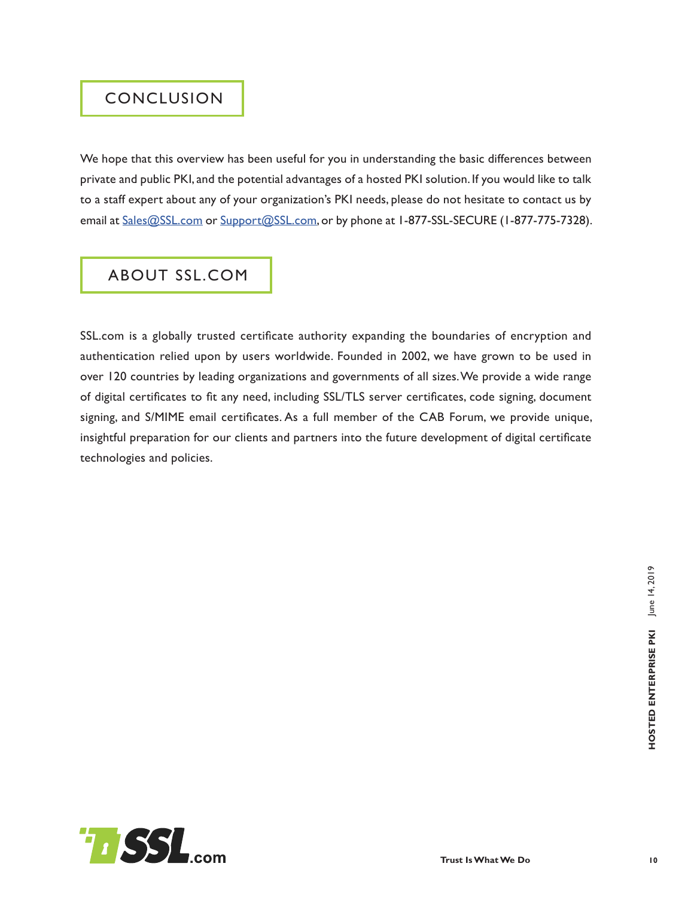#### CONCLUSION

We hope that this overview has been useful for you in understanding the basic differences between private and public PKI, and the potential advantages of a hosted PKI solution. If you would like to talk to a staff expert about any of your organization's PKI needs, please do not hesitate to contact us by email at [Sales@SSL.com](mailto:Sales%40SSL.com?subject=) or [Support@SSL.com](mailto:Support%40SSL.com?subject=), or by phone at 1-877-SSL-SECURE (1-877-775-7328).

# ABOUT SSL.COM

SSL.com is a globally trusted certificate authority expanding the boundaries of encryption and authentication relied upon by users worldwide. Founded in 2002, we have grown to be used in over 120 countries by leading organizations and governments of all sizes.We provide a wide range of digital certificates to fit any need, including SSL/TLS server certificates, code signing, document signing, and S/MIME email certificates. As a full member of the CAB Forum, we provide unique, insightful preparation for our clients and partners into the future development of digital certificate technologies and policies.